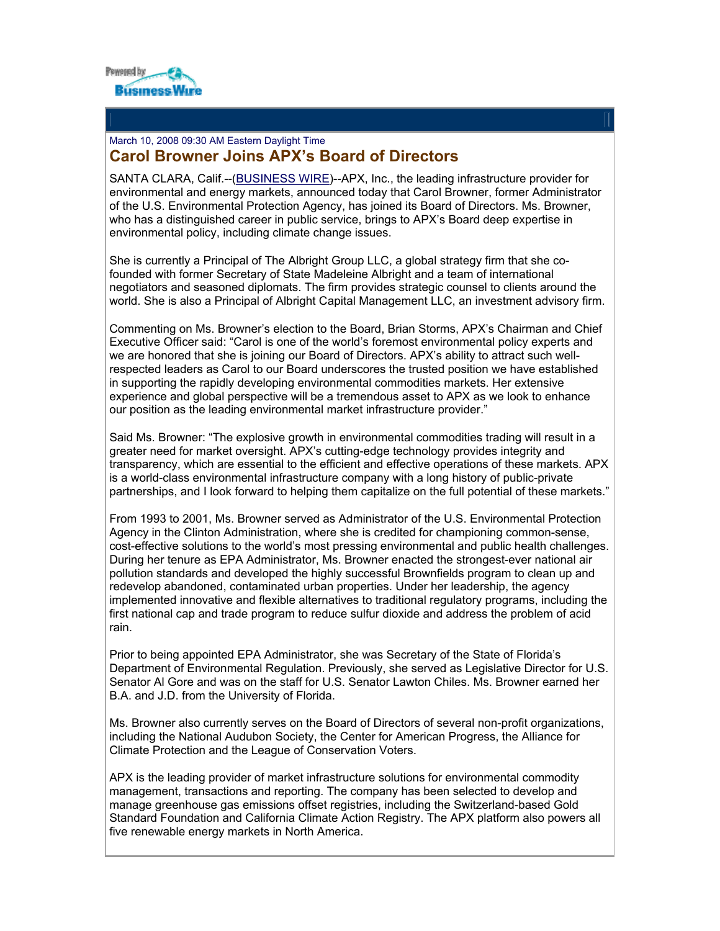

## [March 10, 2008 09:30 AM Eastern Daylight Time](http://www.businesswire.com/news/google/20080310005486/en)  **Carol Browner Joins APX's Board of Directors**

SANTA CLARA, Calif.--([BUSINESS WIRE](http://www.businesswire.com/))--APX, Inc., the leading infrastructure provider for environmental and energy markets, announced today that Carol Browner, former Administrator of the U.S. Environmental Protection Agency, has joined its Board of Directors. Ms. Browner, who has a distinguished career in public service, brings to APX's Board deep expertise in environmental policy, including climate change issues.

She is currently a Principal of The Albright Group LLC, a global strategy firm that she cofounded with former Secretary of State Madeleine Albright and a team of international negotiators and seasoned diplomats. The firm provides strategic counsel to clients around the world. She is also a Principal of Albright Capital Management LLC, an investment advisory firm.

Commenting on Ms. Browner's election to the Board, Brian Storms, APX's Chairman and Chief Executive Officer said: "Carol is one of the world's foremost environmental policy experts and we are honored that she is joining our Board of Directors. APX's ability to attract such wellrespected leaders as Carol to our Board underscores the trusted position we have established in supporting the rapidly developing environmental commodities markets. Her extensive experience and global perspective will be a tremendous asset to APX as we look to enhance our position as the leading environmental market infrastructure provider."

Said Ms. Browner: "The explosive growth in environmental commodities trading will result in a greater need for market oversight. APX's cutting-edge technology provides integrity and transparency, which are essential to the efficient and effective operations of these markets. APX is a world-class environmental infrastructure company with a long history of public-private partnerships, and I look forward to helping them capitalize on the full potential of these markets."

From 1993 to 2001, Ms. Browner served as Administrator of the U.S. Environmental Protection Agency in the Clinton Administration, where she is credited for championing common-sense, cost-effective solutions to the world's most pressing environmental and public health challenges. During her tenure as EPA Administrator, Ms. Browner enacted the strongest-ever national air pollution standards and developed the highly successful Brownfields program to clean up and redevelop abandoned, contaminated urban properties. Under her leadership, the agency implemented innovative and flexible alternatives to traditional regulatory programs, including the first national cap and trade program to reduce sulfur dioxide and address the problem of acid rain.

Prior to being appointed EPA Administrator, she was Secretary of the State of Florida's Department of Environmental Regulation. Previously, she served as Legislative Director for U.S. Senator Al Gore and was on the staff for U.S. Senator Lawton Chiles. Ms. Browner earned her B.A. and J.D. from the University of Florida.

Ms. Browner also currently serves on the Board of Directors of several non-profit organizations, including the National Audubon Society, the Center for American Progress, the Alliance for Climate Protection and the League of Conservation Voters.

APX is the leading provider of market infrastructure solutions for environmental commodity management, transactions and reporting. The company has been selected to develop and manage greenhouse gas emissions offset registries, including the Switzerland-based Gold Standard Foundation and California Climate Action Registry. The APX platform also powers all five renewable energy markets in North America.